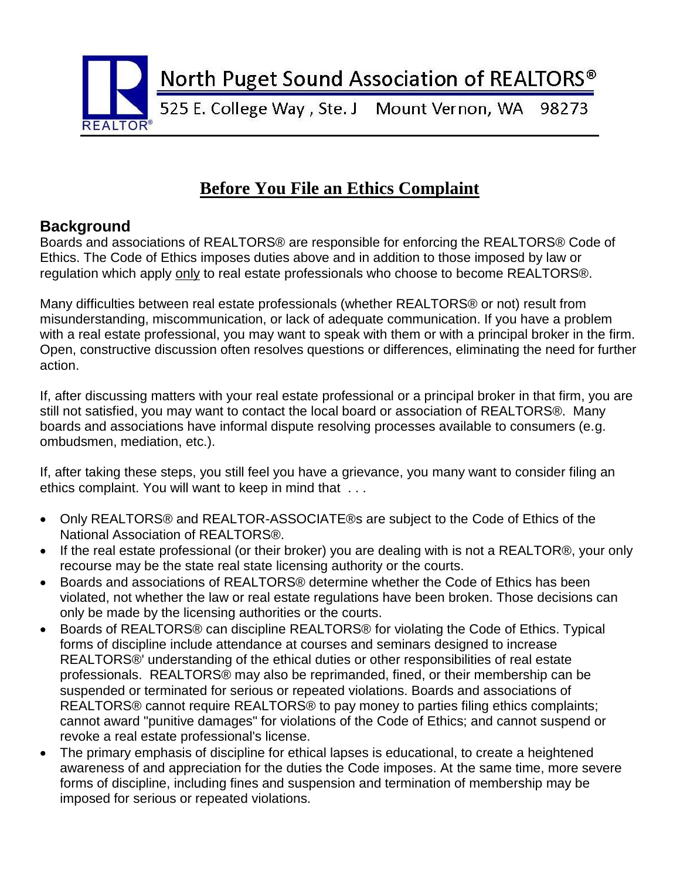

# **Before You File an Ethics Complaint**

#### **Background**

Boards and associations of REALTORS® are responsible for enforcing the REALTORS® Code of Ethics. The Code of Ethics imposes duties above and in addition to those imposed by law or regulation which apply only to real estate professionals who choose to become REALTORS®.

Many difficulties between real estate professionals (whether REALTORS® or not) result from misunderstanding, miscommunication, or lack of adequate communication. If you have a problem with a real estate professional, you may want to speak with them or with a principal broker in the firm. Open, constructive discussion often resolves questions or differences, eliminating the need for further action.

If, after discussing matters with your real estate professional or a principal broker in that firm, you are still not satisfied, you may want to contact the local board or association of REALTORS®. Many boards and associations have informal dispute resolving processes available to consumers (e.g. ombudsmen, mediation, etc.).

If, after taking these steps, you still feel you have a grievance, you many want to consider filing an ethics complaint. You will want to keep in mind that . . .

- Only REALTORS® and REALTOR-ASSOCIATE®s are subject to the Code of Ethics of the National Association of REALTORS®.
- If the real estate professional (or their broker) you are dealing with is not a REALTOR®, your only recourse may be the state real state licensing authority or the courts.
- Boards and associations of REALTORS® determine whether the Code of Ethics has been violated, not whether the law or real estate regulations have been broken. Those decisions can only be made by the licensing authorities or the courts.
- Boards of REALTORS® can discipline REALTORS® for violating the Code of Ethics. Typical forms of discipline include attendance at courses and seminars designed to increase REALTORS®' understanding of the ethical duties or other responsibilities of real estate professionals. REALTORS® may also be reprimanded, fined, or their membership can be suspended or terminated for serious or repeated violations. Boards and associations of REALTORS® cannot require REALTORS® to pay money to parties filing ethics complaints; cannot award "punitive damages" for violations of the Code of Ethics; and cannot suspend or revoke a real estate professional's license.
- The primary emphasis of discipline for ethical lapses is educational, to create a heightened awareness of and appreciation for the duties the Code imposes. At the same time, more severe forms of discipline, including fines and suspension and termination of membership may be imposed for serious or repeated violations.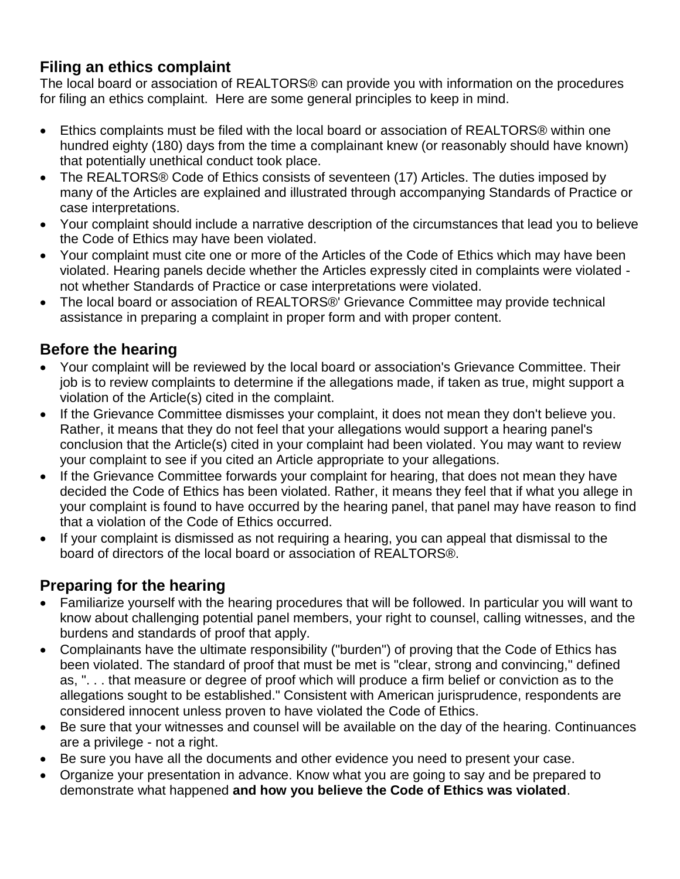### **Filing an ethics complaint**

The local board or association of REALTORS® can provide you with information on the procedures for filing an ethics complaint. Here are some general principles to keep in mind.

- Ethics complaints must be filed with the local board or association of REALTORS® within one hundred eighty (180) days from the time a complainant knew (or reasonably should have known) that potentially unethical conduct took place.
- The REALTORS® Code of Ethics consists of seventeen (17) Articles. The duties imposed by many of the Articles are explained and illustrated through accompanying Standards of Practice or case interpretations.
- Your complaint should include a narrative description of the circumstances that lead you to believe the Code of Ethics may have been violated.
- Your complaint must cite one or more of the Articles of the Code of Ethics which may have been violated. Hearing panels decide whether the Articles expressly cited in complaints were violated not whether Standards of Practice or case interpretations were violated.
- The local board or association of REALTORS®' Grievance Committee may provide technical assistance in preparing a complaint in proper form and with proper content.

## **Before the hearing**

- Your complaint will be reviewed by the local board or association's Grievance Committee. Their job is to review complaints to determine if the allegations made, if taken as true, might support a violation of the Article(s) cited in the complaint.
- If the Grievance Committee dismisses your complaint, it does not mean they don't believe you. Rather, it means that they do not feel that your allegations would support a hearing panel's conclusion that the Article(s) cited in your complaint had been violated. You may want to review your complaint to see if you cited an Article appropriate to your allegations.
- If the Grievance Committee forwards your complaint for hearing, that does not mean they have decided the Code of Ethics has been violated. Rather, it means they feel that if what you allege in your complaint is found to have occurred by the hearing panel, that panel may have reason to find that a violation of the Code of Ethics occurred.
- If your complaint is dismissed as not requiring a hearing, you can appeal that dismissal to the board of directors of the local board or association of REALTORS®.

#### **Preparing for the hearing**

- Familiarize yourself with the hearing procedures that will be followed. In particular you will want to know about challenging potential panel members, your right to counsel, calling witnesses, and the burdens and standards of proof that apply.
- Complainants have the ultimate responsibility ("burden") of proving that the Code of Ethics has been violated. The standard of proof that must be met is "clear, strong and convincing," defined as, ". . . that measure or degree of proof which will produce a firm belief or conviction as to the allegations sought to be established." Consistent with American jurisprudence, respondents are considered innocent unless proven to have violated the Code of Ethics.
- Be sure that your witnesses and counsel will be available on the day of the hearing. Continuances are a privilege - not a right.
- Be sure you have all the documents and other evidence you need to present your case.
- Organize your presentation in advance. Know what you are going to say and be prepared to demonstrate what happened **and how you believe the Code of Ethics was violated**.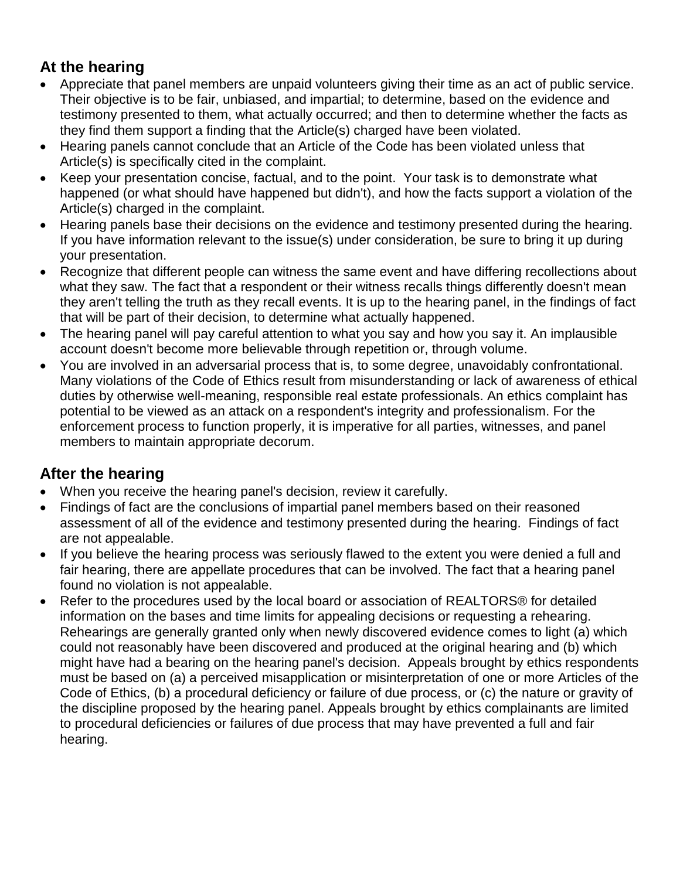## **At the hearing**

- Appreciate that panel members are unpaid volunteers giving their time as an act of public service. Their objective is to be fair, unbiased, and impartial; to determine, based on the evidence and testimony presented to them, what actually occurred; and then to determine whether the facts as they find them support a finding that the Article(s) charged have been violated.
- Hearing panels cannot conclude that an Article of the Code has been violated unless that Article(s) is specifically cited in the complaint.
- Keep your presentation concise, factual, and to the point. Your task is to demonstrate what happened (or what should have happened but didn't), and how the facts support a violation of the Article(s) charged in the complaint.
- Hearing panels base their decisions on the evidence and testimony presented during the hearing. If you have information relevant to the issue(s) under consideration, be sure to bring it up during your presentation.
- Recognize that different people can witness the same event and have differing recollections about what they saw. The fact that a respondent or their witness recalls things differently doesn't mean they aren't telling the truth as they recall events. It is up to the hearing panel, in the findings of fact that will be part of their decision, to determine what actually happened.
- The hearing panel will pay careful attention to what you say and how you say it. An implausible account doesn't become more believable through repetition or, through volume.
- You are involved in an adversarial process that is, to some degree, unavoidably confrontational. Many violations of the Code of Ethics result from misunderstanding or lack of awareness of ethical duties by otherwise well-meaning, responsible real estate professionals. An ethics complaint has potential to be viewed as an attack on a respondent's integrity and professionalism. For the enforcement process to function properly, it is imperative for all parties, witnesses, and panel members to maintain appropriate decorum.

#### **After the hearing**

- When you receive the hearing panel's decision, review it carefully.
- Findings of fact are the conclusions of impartial panel members based on their reasoned assessment of all of the evidence and testimony presented during the hearing. Findings of fact are not appealable.
- If you believe the hearing process was seriously flawed to the extent you were denied a full and fair hearing, there are appellate procedures that can be involved. The fact that a hearing panel found no violation is not appealable.
- Refer to the procedures used by the local board or association of REALTORS® for detailed information on the bases and time limits for appealing decisions or requesting a rehearing. Rehearings are generally granted only when newly discovered evidence comes to light (a) which could not reasonably have been discovered and produced at the original hearing and (b) which might have had a bearing on the hearing panel's decision. Appeals brought by ethics respondents must be based on (a) a perceived misapplication or misinterpretation of one or more Articles of the Code of Ethics, (b) a procedural deficiency or failure of due process, or (c) the nature or gravity of the discipline proposed by the hearing panel. Appeals brought by ethics complainants are limited to procedural deficiencies or failures of due process that may have prevented a full and fair hearing.